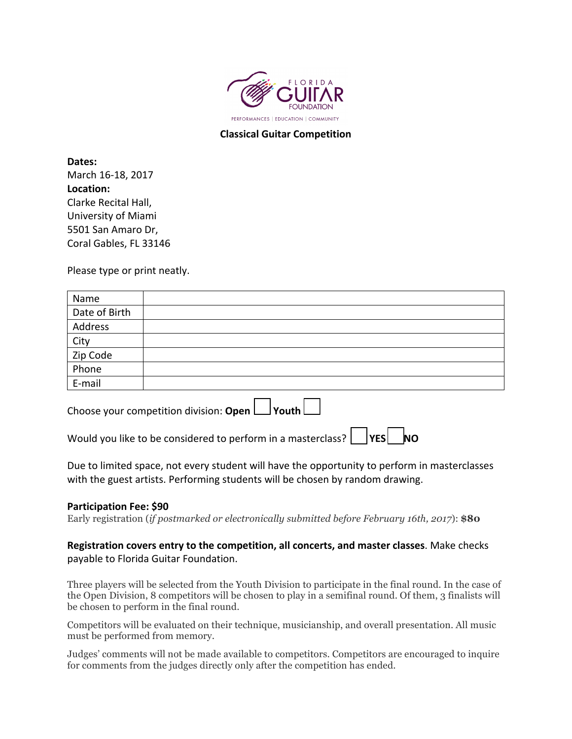

## **Classical Guitar Competition**

**Dates:** March 16-18, 2017 **Location:** Clarke Recital Hall, University of Miami 5501 San Amaro Dr, Coral Gables, FL 33146

Please type or print neatly.

Choose your competition division: **Open**  $\Box$  Youth  $\Box$ 

Would you like to be considered to perform in a masterclass?  $\Box$  YES  $\Box$  NO

Due to limited space, not every student will have the opportunity to perform in masterclasses with the guest artists. Performing students will be chosen by random drawing.

## **Participation Fee: \$90**

Early registration (*if postmarked or electronically submitted before February 16th, 2017*): **\$80**

## **Registration covers entry to the competition, all concerts, and master classes**. Make checks payable to Florida Guitar Foundation.

Three players will be selected from the Youth Division to participate in the final round. In the case of the Open Division, 8 competitors will be chosen to play in a semifinal round. Of them, 3 finalists will be chosen to perform in the final round.

Competitors will be evaluated on their technique, musicianship, and overall presentation. All music must be performed from memory.

Judges' comments will not be made available to competitors. Competitors are encouraged to inquire for comments from the judges directly only after the competition has ended.